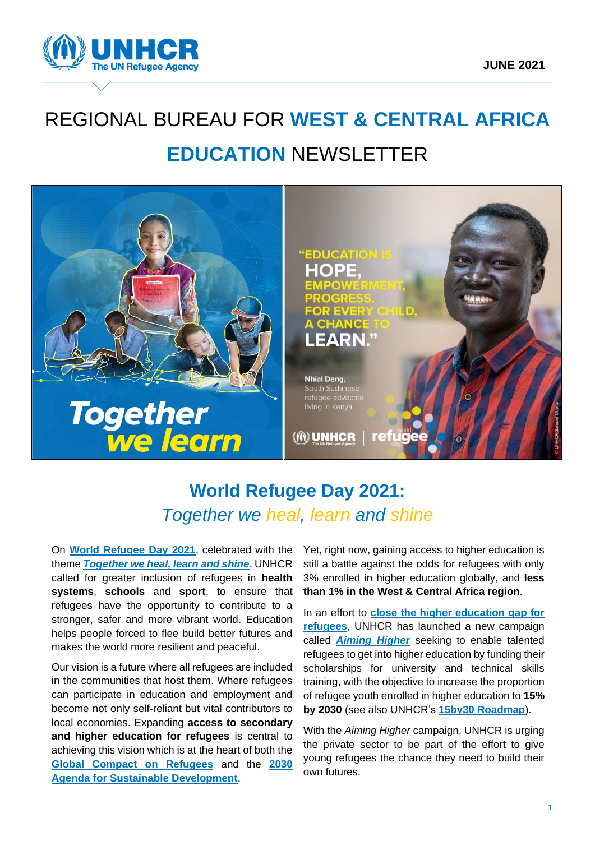

# REGIONAL BUREAU FOR **WEST & CENTRAL AFRICA EDUCATION** NEWSLETTER



# **World Refugee Day 2021:** *Together we heal, learn and shine*

On **[World Refugee Day 2021](https://www.unhcr.org/world-refugee-day.html)**, celebrated with the theme *[Together we heal, learn and shine](https://ecw.exposure.co/world-refugee-day-2021)*, UNHCR called for greater inclusion of refugees in **health systems**, **schools** and **sport**, to ensure that refugees have the opportunity to contribute to a stronger, safer and more vibrant world. Education helps people forced to flee build better futures and makes the world more resilient and peaceful.

Our vision is a future where all refugees are included in the communities that host them. Where refugees can participate in education and employment and become not only self-reliant but vital contributors to local economies. Expanding **access to secondary and higher education for refugees** is central to achieving this vision which is at the heart of both the **[Global Compact on](https://www.unhcr.org/the-global-compact-on-refugees.html) Refugees** and the **[2030](https://sdgs.un.org/2030agenda)  [Agenda for Sustainable Development](https://sdgs.un.org/2030agenda)**.

Yet, right now, gaining access to higher education is still a battle against the odds for refugees with only 3% enrolled in higher education globally, and **less than 1% in the West & Central Africa region**.

In an effort to **[close the higher education gap for](https://www.forbes.com/sites/chantaldasilva/2021/05/28/unhcr-launches-campaign-to-close-higher-education-gap-for-refugees/?sh=40891f104227)  [refugees](https://www.forbes.com/sites/chantaldasilva/2021/05/28/unhcr-launches-campaign-to-close-higher-education-gap-for-refugees/?sh=40891f104227)**, UNHCR has launched a new campaign called *[Aiming Higher](https://www.unhcr.org/aiming-higher-fund-scholarships-for-refugees.html)* seeking to enable talented refugees to get into higher education by funding their scholarships for university and technical skills training, with the objective to increase the proportion of refugee youth enrolled in higher education to **15% by 2030** (see also UNHCR's **[15by30 Roadmap](https://www.unhcr.org/tertiary-education.html)**).

With the *Aiming Higher* campaign, UNHCR is urging the private sector to be part of the effort to give young refugees the chance they need to build their own futures.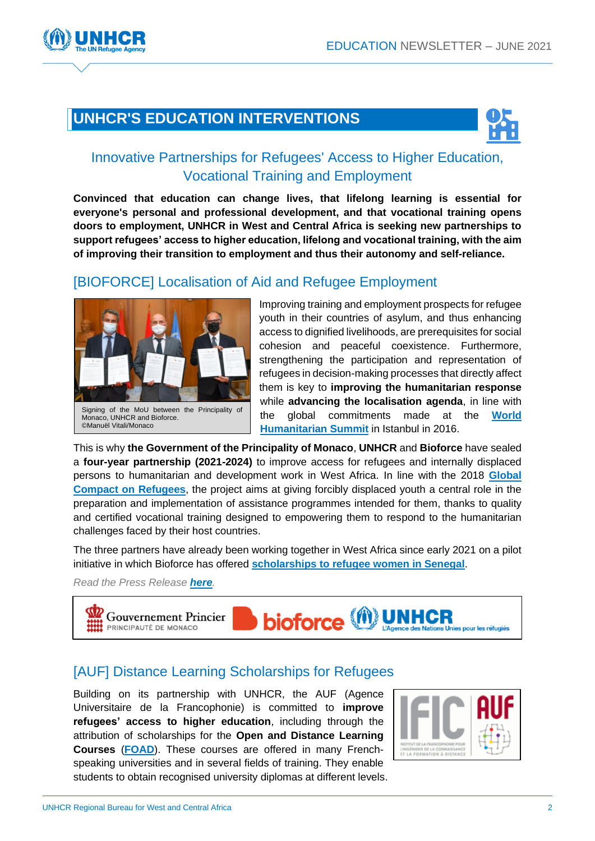# **UNHCR'S EDUCATION INTERVENTIONS**



#### Innovative Partnerships for Refugees' Access to Higher Education, Vocational Training and Employment

**Convinced that education can change lives, that lifelong learning is essential for everyone's personal and professional development, and that vocational training opens doors to employment, UNHCR in West and Central Africa is seeking new partnerships to support refugees' access to higher education, lifelong and vocational training, with the aim of improving their transition to employment and thus their autonomy and self-reliance.**

#### [\[BIOFORCE\] Localisation of Aid and Refugee Employment](https://www.unhcr.org/fr-fr/news/press/2021/6/60d1ebdd4/monaco-le-hcr-et-bioforce-sengagent-en-faveur-de-la-formation-professionnelle.html)



Monaco, UNHCR and Bioforce. ©Manuël Vitali/Monaco

Improving training and employment prospects for refugee youth in their countries of asylum, and thus enhancing access to dignified livelihoods, are prerequisites for social cohesion and peaceful coexistence. Furthermore, strengthening the participation and representation of refugees in decision-making processes that directly affect them is key to **improving the humanitarian response** while **advancing the localisation agenda**, in line with the global commitments made at the **[World](https://agendaforhumanity.org/summit.html)  [Humanitarian Summit](https://agendaforhumanity.org/summit.html)** in Istanbul in 2016.

This is why **the Government of the Principality of Monaco**, **UNHCR** and **Bioforce** have sealed a **four-year partnership (2021-2024)** to improve access for refugees and internally displaced persons to humanitarian and development work in West Africa. In line with the 2018 **[Global](https://www.unhcr.org/the-global-compact-on-refugees.html)  [Compact on Refugees](https://www.unhcr.org/the-global-compact-on-refugees.html)**, the project aims at giving forcibly displaced youth a central role in the preparation and implementation of assistance programmes intended for them, thanks to quality and certified vocational training designed to empowering them to respond to the humanitarian challenges faced by their host countries.

The three partners have already been working together in West Africa since early 2021 on a pilot initiative in which Bioforce has offered **[scholarships to refugee women in Senegal](https://www.bioforce.org/les-refugies-peuvent-etre-de-tres-bons-acteurs-humanitaires/)**.

*Read the Press Release [here](https://www.unhcr.org/fr-fr/news/press/2021/6/60d1ebdd4/monaco-le-hcr-et-bioforce-sengagent-en-faveur-de-la-formation-professionnelle.html).*



#### [\[AUF\] Distance Learning Scholarships for Refugees](https://www.auf.org/nouvelles/appels-a-candidatures/appel-a-candidatures-inscriptions-aux-formations-ouvertes-a-distance-foad-20212022/)

Building on its partnership with UNHCR, the AUF (Agence Universitaire de la Francophonie) is committed to **improve refugees' access to higher education**, including through the attribution of scholarships for the **Open and Distance Learning Courses** (**[FOAD](https://www.auf.org/nouvelles/appels-a-candidatures/appel-a-candidatures-inscriptions-aux-formations-ouvertes-a-distance-foad-20212022/)**). These courses are offered in many Frenchspeaking universities and in several fields of training. They enable students to obtain recognised university diplomas at different levels.

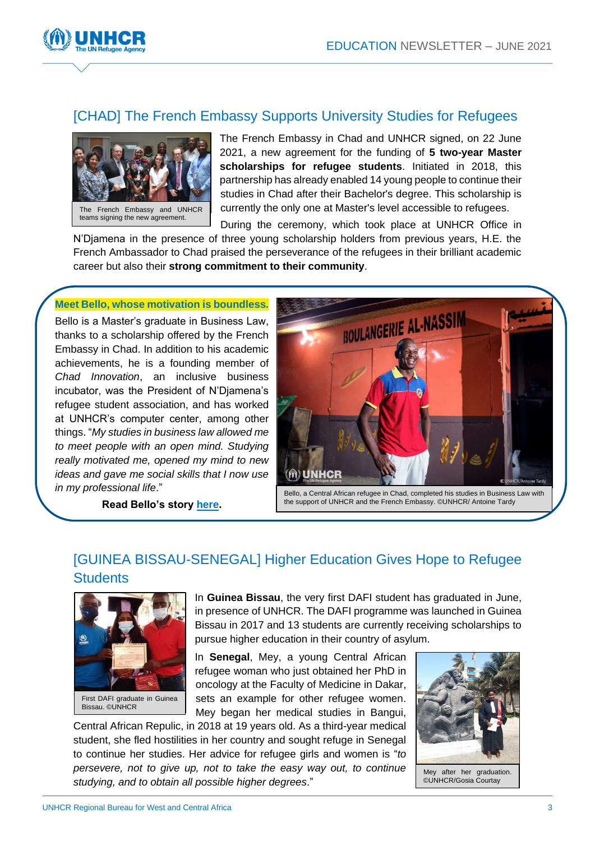

## [CHAD] The French Embassy Supports University Studies for Refugees



The French Embassy in Chad and UNHCR signed, on 22 June 2021, a new agreement for the funding of **5 two-year Master scholarships for refugee students**. Initiated in 2018, this partnership has already enabled 14 young people to continue their studies in Chad after their Bachelor's degree. This scholarship is currently the only one at Master's level accessible to refugees.

During the ceremony, which took place at UNHCR Office in N'Djamena in the presence of three young scholarship holders from previous years, H.E. the French Ambassador to Chad praised the perseverance of the refugees in their brilliant academic career but also their **strong commitment to their community**.

#### **Meet Bello, whose motivation is boundless***.*

Bello is a Master's graduate in Business Law, thanks to a scholarship offered by the French Embassy in Chad. In addition to his academic achievements, he is a founding member of *Chad Innovation*, an inclusive business incubator, was the President of N'Djamena's refugee student association, and has worked at UNHCR's computer center, among other things. "*My studies in business law allowed me to meet people with an open mind. Studying really motivated me, opened my mind to new ideas and gave me social skills that I now use in my professional life*."



**Read Bello's story [here.](https://unhcr.pageflow.io/becoming-who-we-are#301849)**

## [GUINEA BISSAU-SENEGAL] Higher Education Gives Hope to Refugee **Students**



First DAFI graduate in Guinea Bissau. ©UNHCR

In **Guinea Bissau**, the very first DAFI student has graduated in June, in presence of UNHCR. The DAFI programme was launched in Guinea Bissau in 2017 and 13 students are currently receiving scholarships to pursue higher education in their country of asylum.

In **Senegal**, Mey, a young Central African refugee woman who just obtained her PhD in oncology at the Faculty of Medicine in Dakar, sets an example for other refugee women. Mey began her medical studies in Bangui,

Central African Repulic, in 2018 at 19 years old. As a third-year medical student, she fled hostilities in her country and sought refuge in Senegal to continue her studies. Her advice for refugee girls and women is "*to persevere, not to give up, not to take the easy way out, to continue studying, and to obtain all possible higher degrees*."



Mey after her graduation. ©UNHCR/Gosia Courtay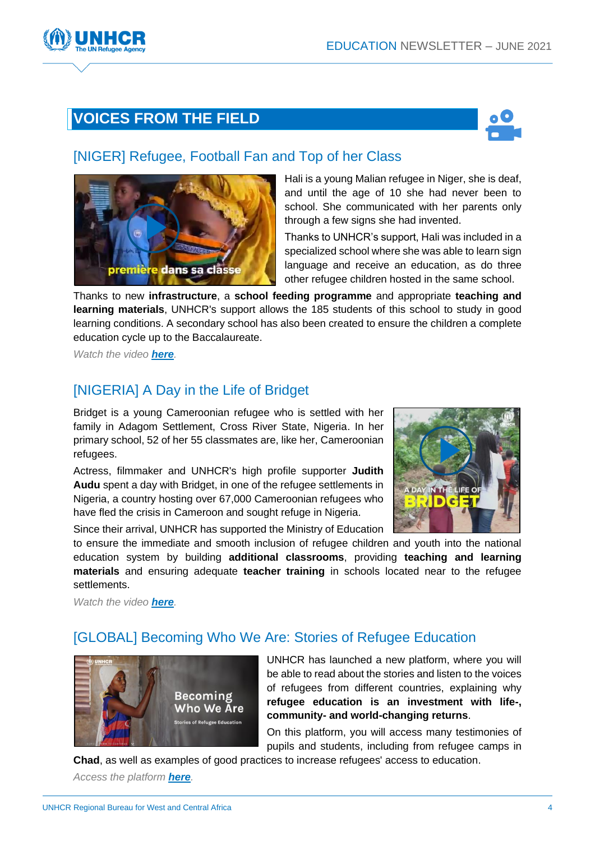# **VOICES FROM THE FIELD**



#### [\[NIGER\] Refugee, Football Fan and Top of her Class](https://twitter.com/UNHCRWestAfrica/status/1408018694408749056)



Hali is a young Malian refugee in Niger, she is deaf, and until the age of 10 she had never been to school. She communicated with her parents only through a few signs she had invented.

Thanks to UNHCR's support, Hali was included in a specialized school where she was able to learn sign language and receive an education, as do three other refugee children hosted in the same school.

Thanks to new **infrastructure**, a **school feeding programme** and appropriate **teaching and learning materials**, UNHCR's support allows the 185 students of this school to study in good learning conditions. A secondary school has also been created to ensure the children a complete education cycle up to the Baccalaureate.

*Watch the video [here](https://twitter.com/UNHCRWestAfrica/status/1408018694408749056).*

## [\[NIGERIA\] A Day in the Life of Bridget](https://twitter.com/UNHCRWestAfrica/status/1406231743309533186)

Bridget is a young Cameroonian refugee who is settled with her family in Adagom Settlement, Cross River State, Nigeria. In her primary school, 52 of her 55 classmates are, like her, Cameroonian refugees.

Actress, filmmaker and UNHCR's high profile supporter **Judith Audu** spent a day with Bridget, in one of the refugee settlements in Nigeria, a country hosting over 67,000 Cameroonian refugees who have fled the crisis in Cameroon and sought refuge in Nigeria.

Since their arrival, UNHCR has supported the Ministry of Education



to ensure the immediate and smooth inclusion of refugee children and youth into the national education system by building **additional classrooms**, providing **teaching and learning materials** and ensuring adequate **teacher training** in schools located near to the refugee settlements.

*Watch the video [here](https://twitter.com/UNHCRWestAfrica/status/1406231743309533186).*

#### [\[GLOBAL\] Becoming Who We Are: Stories of Refugee Education](https://unhcr.pageflow.io/becoming-who-we-are#301880)



UNHCR has launched a new platform, where you will be able to read about the stories and listen to the voices of refugees from different countries, explaining why **refugee education is an investment with life-, community- and world-changing returns**.

On this platform, you will access many testimonies of pupils and students, including from refugee camps in

**Chad**, as well as examples of good practices to increase refugees' access to education.

*Access the platform [here](https://unhcr.pageflow.io/becoming-who-we-are#301880).*